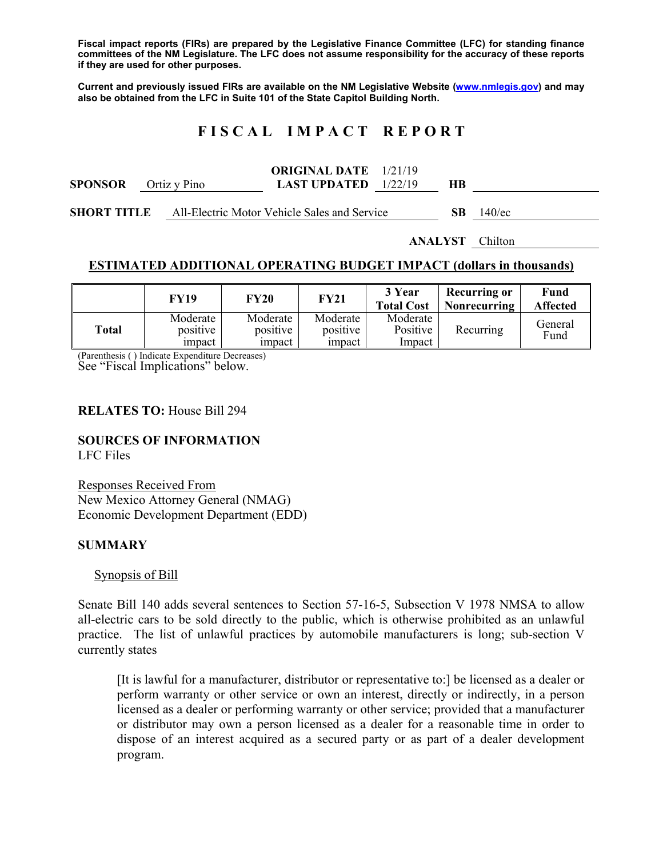**Fiscal impact reports (FIRs) are prepared by the Legislative Finance Committee (LFC) for standing finance committees of the NM Legislature. The LFC does not assume responsibility for the accuracy of these reports if they are used for other purposes.** 

**Current and previously issued FIRs are available on the NM Legislative Website (www.nmlegis.gov) and may also be obtained from the LFC in Suite 101 of the State Capitol Building North.** 

# **F I S C A L I M P A C T R E P O R T**

|                                                          |              | <b>ORIGINAL DATE</b> 1/21/19                                                                                                                                                                                                                                                                                                                                                    |            |       |
|----------------------------------------------------------|--------------|---------------------------------------------------------------------------------------------------------------------------------------------------------------------------------------------------------------------------------------------------------------------------------------------------------------------------------------------------------------------------------|------------|-------|
| <b>SPONSOR</b>                                           | Ortiz y Pino | <b>LAST UPDATED</b> $1/22/19$                                                                                                                                                                                                                                                                                                                                                   |            |       |
| $\alpha$ on $\alpha$ $\alpha$ $\alpha$ $\alpha$ $\alpha$ |              | $\lambda$ 11 $\Gamma$ 1. $\lambda$ . $\lambda$ . $\lambda$ . $\lambda$ . $\lambda$ . $\lambda$ . $\lambda$ . 1. 1. $\Gamma$ . 1. $\Gamma$ . $\lambda$ . 1. $\Gamma$ . $\lambda$ . $\lambda$ . $\lambda$ . $\lambda$ . $\lambda$ . $\lambda$ . $\lambda$ . $\lambda$ . $\lambda$ . $\lambda$ . $\lambda$ . $\lambda$ . $\lambda$ . $\lambda$ . $\lambda$ . $\lambda$ . $\lambda$ | $\alpha$ n | 1.401 |

**SHORT TITLE** All-Electric Motor Vehicle Sales and Service **SB** 140/ec

**ANALYST** Chilton

### **ESTIMATED ADDITIONAL OPERATING BUDGET IMPACT (dollars in thousands)**

|       | <b>FY19</b>          | <b>FY20</b>          | <b>FY21</b>          | 3 Year<br><b>Total Cost</b> | <b>Recurring or</b><br>Nonrecurring | Fund<br><b>Affected</b> |
|-------|----------------------|----------------------|----------------------|-----------------------------|-------------------------------------|-------------------------|
| Total | Moderate<br>positive | Moderate<br>positive | Moderate<br>positive | Moderate<br>Positive        | Recurring                           | General<br>Fund         |
|       | impact               | impact               | <i>i</i> mpact       | Impact                      |                                     |                         |

(Parenthesis ( ) Indicate Expenditure Decreases) See "Fiscal Implications" below.

#### **RELATES TO:** House Bill 294

### **SOURCES OF INFORMATION**

LFC Files

Responses Received From New Mexico Attorney General (NMAG) Economic Development Department (EDD)

### **SUMMARY**

Synopsis of Bill

Senate Bill 140 adds several sentences to Section 57-16-5, Subsection V 1978 NMSA to allow all-electric cars to be sold directly to the public, which is otherwise prohibited as an unlawful practice. The list of unlawful practices by automobile manufacturers is long; sub-section V currently states

[It is lawful for a manufacturer, distributor or representative to:] be licensed as a dealer or perform warranty or other service or own an interest, directly or indirectly, in a person licensed as a dealer or performing warranty or other service; provided that a manufacturer or distributor may own a person licensed as a dealer for a reasonable time in order to dispose of an interest acquired as a secured party or as part of a dealer development program.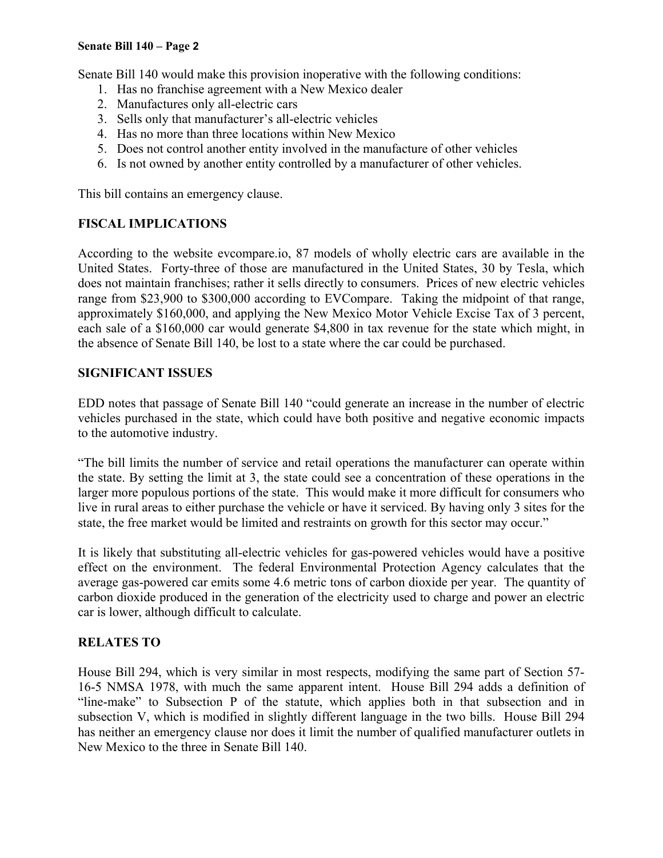#### **Senate Bill 140 – Page 2**

Senate Bill 140 would make this provision inoperative with the following conditions:

- 1. Has no franchise agreement with a New Mexico dealer
- 2. Manufactures only all-electric cars
- 3. Sells only that manufacturer's all-electric vehicles
- 4. Has no more than three locations within New Mexico
- 5. Does not control another entity involved in the manufacture of other vehicles
- 6. Is not owned by another entity controlled by a manufacturer of other vehicles.

This bill contains an emergency clause.

## **FISCAL IMPLICATIONS**

According to the website evcompare.io, 87 models of wholly electric cars are available in the United States. Forty-three of those are manufactured in the United States, 30 by Tesla, which does not maintain franchises; rather it sells directly to consumers. Prices of new electric vehicles range from \$23,900 to \$300,000 according to EVCompare. Taking the midpoint of that range, approximately \$160,000, and applying the New Mexico Motor Vehicle Excise Tax of 3 percent, each sale of a \$160,000 car would generate \$4,800 in tax revenue for the state which might, in the absence of Senate Bill 140, be lost to a state where the car could be purchased.

### **SIGNIFICANT ISSUES**

EDD notes that passage of Senate Bill 140 "could generate an increase in the number of electric vehicles purchased in the state, which could have both positive and negative economic impacts to the automotive industry.

"The bill limits the number of service and retail operations the manufacturer can operate within the state. By setting the limit at 3, the state could see a concentration of these operations in the larger more populous portions of the state. This would make it more difficult for consumers who live in rural areas to either purchase the vehicle or have it serviced. By having only 3 sites for the state, the free market would be limited and restraints on growth for this sector may occur."

It is likely that substituting all-electric vehicles for gas-powered vehicles would have a positive effect on the environment. The federal Environmental Protection Agency calculates that the average gas-powered car emits some 4.6 metric tons of carbon dioxide per year. The quantity of carbon dioxide produced in the generation of the electricity used to charge and power an electric car is lower, although difficult to calculate.

# **RELATES TO**

House Bill 294, which is very similar in most respects, modifying the same part of Section 57- 16-5 NMSA 1978, with much the same apparent intent. House Bill 294 adds a definition of "line-make" to Subsection P of the statute, which applies both in that subsection and in subsection V, which is modified in slightly different language in the two bills. House Bill 294 has neither an emergency clause nor does it limit the number of qualified manufacturer outlets in New Mexico to the three in Senate Bill 140.